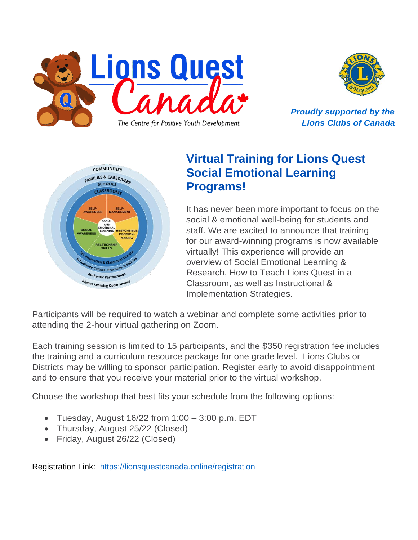



*Proudly supported by the Lions Clubs of Canada*



# **Virtual Training for Lions Quest Social Emotional Learning Programs!**

It has never been more important to focus on the social & emotional well-being for students and staff. We are excited to announce that training for our award-winning programs is now available virtually! This experience will provide an overview of Social Emotional Learning & Research, How to Teach Lions Quest in a Classroom, as well as Instructional & Implementation Strategies.

Participants will be required to watch a webinar and complete some activities prior to attending the 2-hour virtual gathering on Zoom.

Each training session is limited to 15 participants, and the \$350 registration fee includes the training and a curriculum resource package for one grade level. Lions Clubs or Districts may be willing to sponsor participation. Register early to avoid disappointment and to ensure that you receive your material prior to the virtual workshop.

Choose the workshop that best fits your schedule from the following options:

- Tuesday, August  $16/22$  from  $1:00 3:00$  p.m. EDT
- Thursday, August 25/22 (Closed)
- Friday, August 26/22 (Closed)

Registration Link: <https://lionsquestcanada.online/registration>